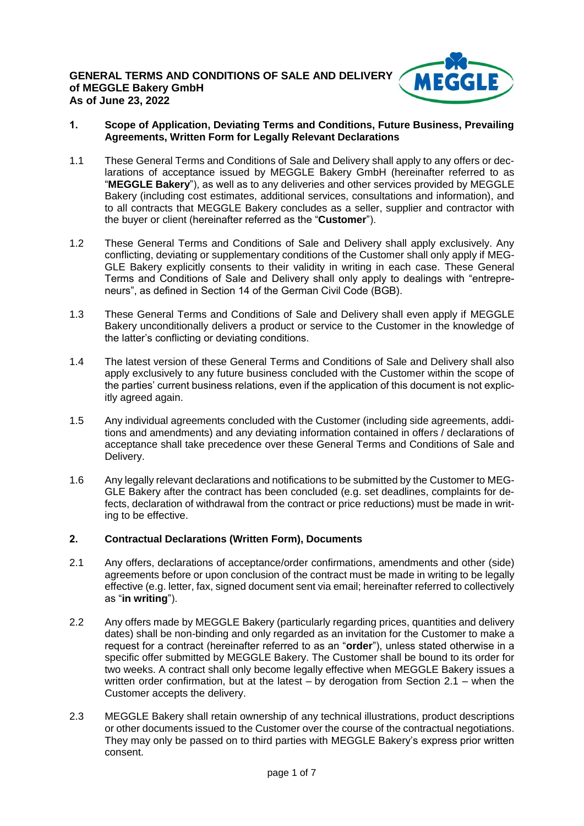

### **1. Scope of Application, Deviating Terms and Conditions, Future Business, Prevailing Agreements, Written Form for Legally Relevant Declarations**

- 1.1 These General Terms and Conditions of Sale and Delivery shall apply to any offers or declarations of acceptance issued by MEGGLE Bakery GmbH (hereinafter referred to as "**MEGGLE Bakery**"), as well as to any deliveries and other services provided by MEGGLE Bakery (including cost estimates, additional services, consultations and information), and to all contracts that MEGGLE Bakery concludes as a seller, supplier and contractor with the buyer or client (hereinafter referred as the "**Customer**").
- 1.2 These General Terms and Conditions of Sale and Delivery shall apply exclusively. Any conflicting, deviating or supplementary conditions of the Customer shall only apply if MEG-GLE Bakery explicitly consents to their validity in writing in each case. These General Terms and Conditions of Sale and Delivery shall only apply to dealings with "entrepreneurs", as defined in Section 14 of the German Civil Code (BGB).
- 1.3 These General Terms and Conditions of Sale and Delivery shall even apply if MEGGLE Bakery unconditionally delivers a product or service to the Customer in the knowledge of the latter's conflicting or deviating conditions.
- 1.4 The latest version of these General Terms and Conditions of Sale and Delivery shall also apply exclusively to any future business concluded with the Customer within the scope of the parties' current business relations, even if the application of this document is not explicitly agreed again.
- 1.5 Any individual agreements concluded with the Customer (including side agreements, additions and amendments) and any deviating information contained in offers / declarations of acceptance shall take precedence over these General Terms and Conditions of Sale and Delivery.
- 1.6 Any legally relevant declarations and notifications to be submitted by the Customer to MEG-GLE Bakery after the contract has been concluded (e.g. set deadlines, complaints for defects, declaration of withdrawal from the contract or price reductions) must be made in writing to be effective.

# **2. Contractual Declarations (Written Form), Documents**

- 2.1 Any offers, declarations of acceptance/order confirmations, amendments and other (side) agreements before or upon conclusion of the contract must be made in writing to be legally effective (e.g. letter, fax, signed document sent via email; hereinafter referred to collectively as "**in writing**").
- 2.2 Any offers made by MEGGLE Bakery (particularly regarding prices, quantities and delivery dates) shall be non-binding and only regarded as an invitation for the Customer to make a request for a contract (hereinafter referred to as an "**order**"), unless stated otherwise in a specific offer submitted by MEGGLE Bakery. The Customer shall be bound to its order for two weeks. A contract shall only become legally effective when MEGGLE Bakery issues a written order confirmation, but at the latest  $-$  by derogation from Section 2.1 – when the Customer accepts the delivery.
- 2.3 MEGGLE Bakery shall retain ownership of any technical illustrations, product descriptions or other documents issued to the Customer over the course of the contractual negotiations. They may only be passed on to third parties with MEGGLE Bakery's express prior written consent.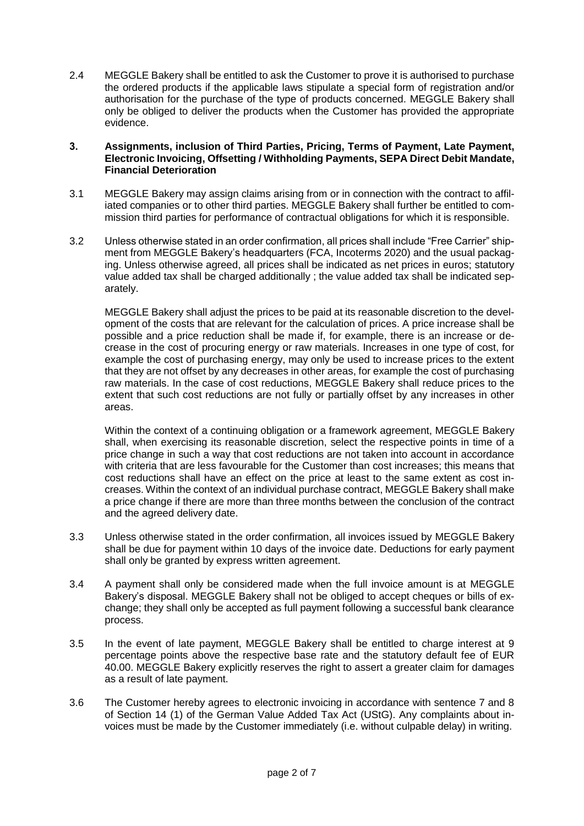2.4 MEGGLE Bakery shall be entitled to ask the Customer to prove it is authorised to purchase the ordered products if the applicable laws stipulate a special form of registration and/or authorisation for the purchase of the type of products concerned. MEGGLE Bakery shall only be obliged to deliver the products when the Customer has provided the appropriate evidence.

#### **3. Assignments, inclusion of Third Parties, Pricing, Terms of Payment, Late Payment, Electronic Invoicing, Offsetting / Withholding Payments, SEPA Direct Debit Mandate, Financial Deterioration**

- 3.1 MEGGLE Bakery may assign claims arising from or in connection with the contract to affiliated companies or to other third parties. MEGGLE Bakery shall further be entitled to commission third parties for performance of contractual obligations for which it is responsible.
- 3.2 Unless otherwise stated in an order confirmation, all prices shall include "Free Carrier" shipment from MEGGLE Bakery's headquarters (FCA, Incoterms 2020) and the usual packaging. Unless otherwise agreed, all prices shall be indicated as net prices in euros; statutory value added tax shall be charged additionally ; the value added tax shall be indicated separately.

MEGGLE Bakery shall adjust the prices to be paid at its reasonable discretion to the development of the costs that are relevant for the calculation of prices. A price increase shall be possible and a price reduction shall be made if, for example, there is an increase or decrease in the cost of procuring energy or raw materials. Increases in one type of cost, for example the cost of purchasing energy, may only be used to increase prices to the extent that they are not offset by any decreases in other areas, for example the cost of purchasing raw materials. In the case of cost reductions, MEGGLE Bakery shall reduce prices to the extent that such cost reductions are not fully or partially offset by any increases in other areas.

Within the context of a continuing obligation or a framework agreement, MEGGLE Bakery shall, when exercising its reasonable discretion, select the respective points in time of a price change in such a way that cost reductions are not taken into account in accordance with criteria that are less favourable for the Customer than cost increases; this means that cost reductions shall have an effect on the price at least to the same extent as cost increases. Within the context of an individual purchase contract, MEGGLE Bakery shall make a price change if there are more than three months between the conclusion of the contract and the agreed delivery date.

- 3.3 Unless otherwise stated in the order confirmation, all invoices issued by MEGGLE Bakery shall be due for payment within 10 days of the invoice date. Deductions for early payment shall only be granted by express written agreement.
- 3.4 A payment shall only be considered made when the full invoice amount is at MEGGLE Bakery's disposal. MEGGLE Bakery shall not be obliged to accept cheques or bills of exchange; they shall only be accepted as full payment following a successful bank clearance process.
- 3.5 In the event of late payment, MEGGLE Bakery shall be entitled to charge interest at 9 percentage points above the respective base rate and the statutory default fee of EUR 40.00. MEGGLE Bakery explicitly reserves the right to assert a greater claim for damages as a result of late payment.
- 3.6 The Customer hereby agrees to electronic invoicing in accordance with sentence 7 and 8 of Section 14 (1) of the German Value Added Tax Act (UStG). Any complaints about invoices must be made by the Customer immediately (i.e. without culpable delay) in writing.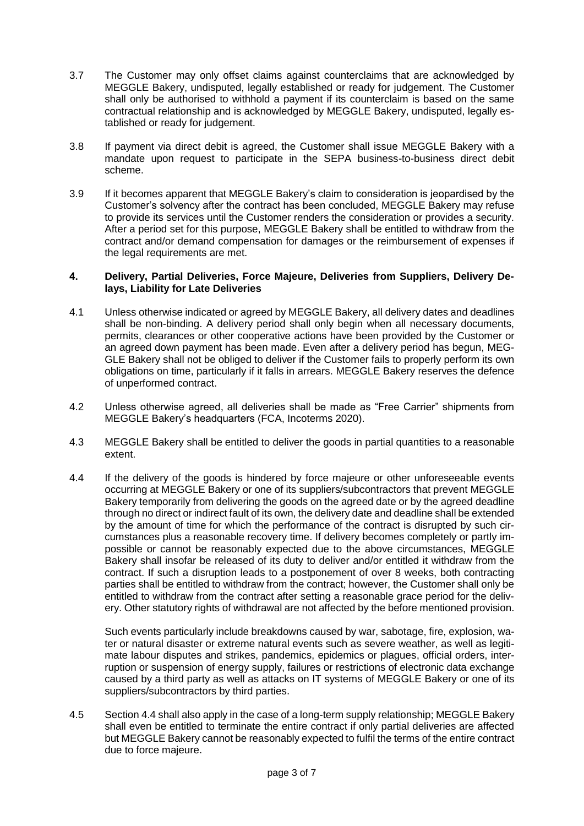- 3.7 The Customer may only offset claims against counterclaims that are acknowledged by MEGGLE Bakery, undisputed, legally established or ready for judgement. The Customer shall only be authorised to withhold a payment if its counterclaim is based on the same contractual relationship and is acknowledged by MEGGLE Bakery, undisputed, legally established or ready for judgement.
- 3.8 If payment via direct debit is agreed, the Customer shall issue MEGGLE Bakery with a mandate upon request to participate in the SEPA business-to-business direct debit scheme.
- 3.9 If it becomes apparent that MEGGLE Bakery's claim to consideration is jeopardised by the Customer's solvency after the contract has been concluded, MEGGLE Bakery may refuse to provide its services until the Customer renders the consideration or provides a security. After a period set for this purpose, MEGGLE Bakery shall be entitled to withdraw from the contract and/or demand compensation for damages or the reimbursement of expenses if the legal requirements are met.

#### **4. Delivery, Partial Deliveries, Force Majeure, Deliveries from Suppliers, Delivery Delays, Liability for Late Deliveries**

- 4.1 Unless otherwise indicated or agreed by MEGGLE Bakery, all delivery dates and deadlines shall be non-binding. A delivery period shall only begin when all necessary documents, permits, clearances or other cooperative actions have been provided by the Customer or an agreed down payment has been made. Even after a delivery period has begun, MEG-GLE Bakery shall not be obliged to deliver if the Customer fails to properly perform its own obligations on time, particularly if it falls in arrears. MEGGLE Bakery reserves the defence of unperformed contract.
- 4.2 Unless otherwise agreed, all deliveries shall be made as "Free Carrier" shipments from MEGGLE Bakery's headquarters (FCA, Incoterms 2020).
- 4.3 MEGGLE Bakery shall be entitled to deliver the goods in partial quantities to a reasonable extent.
- 4.4 If the delivery of the goods is hindered by force majeure or other unforeseeable events occurring at MEGGLE Bakery or one of its suppliers/subcontractors that prevent MEGGLE Bakery temporarily from delivering the goods on the agreed date or by the agreed deadline through no direct or indirect fault of its own, the delivery date and deadline shall be extended by the amount of time for which the performance of the contract is disrupted by such circumstances plus a reasonable recovery time. If delivery becomes completely or partly impossible or cannot be reasonably expected due to the above circumstances, MEGGLE Bakery shall insofar be released of its duty to deliver and/or entitled it withdraw from the contract. If such a disruption leads to a postponement of over 8 weeks, both contracting parties shall be entitled to withdraw from the contract; however, the Customer shall only be entitled to withdraw from the contract after setting a reasonable grace period for the delivery. Other statutory rights of withdrawal are not affected by the before mentioned provision.

Such events particularly include breakdowns caused by war, sabotage, fire, explosion, water or natural disaster or extreme natural events such as severe weather, as well as legitimate labour disputes and strikes, pandemics, epidemics or plagues, official orders, interruption or suspension of energy supply, failures or restrictions of electronic data exchange caused by a third party as well as attacks on IT systems of MEGGLE Bakery or one of its suppliers/subcontractors by third parties.

4.5 Section 4.4 shall also apply in the case of a long-term supply relationship; MEGGLE Bakery shall even be entitled to terminate the entire contract if only partial deliveries are affected but MEGGLE Bakery cannot be reasonably expected to fulfil the terms of the entire contract due to force majeure.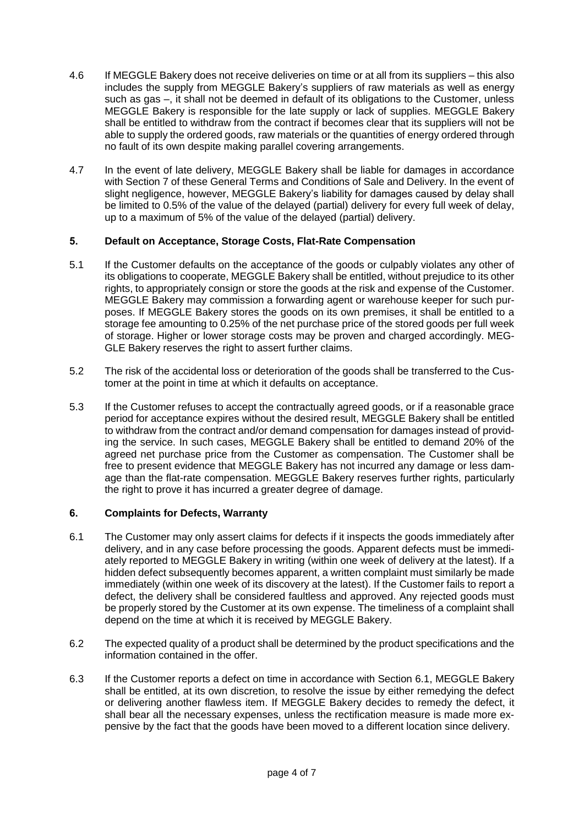- 4.6 If MEGGLE Bakery does not receive deliveries on time or at all from its suppliers this also includes the supply from MEGGLE Bakery's suppliers of raw materials as well as energy such as gas –, it shall not be deemed in default of its obligations to the Customer, unless MEGGLE Bakery is responsible for the late supply or lack of supplies. MEGGLE Bakery shall be entitled to withdraw from the contract if becomes clear that its suppliers will not be able to supply the ordered goods, raw materials or the quantities of energy ordered through no fault of its own despite making parallel covering arrangements.
- 4.7 In the event of late delivery, MEGGLE Bakery shall be liable for damages in accordance with Section 7 of these General Terms and Conditions of Sale and Delivery. In the event of slight negligence, however, MEGGLE Bakery's liability for damages caused by delay shall be limited to 0.5% of the value of the delayed (partial) delivery for every full week of delay, up to a maximum of 5% of the value of the delayed (partial) delivery.

# **5. Default on Acceptance, Storage Costs, Flat-Rate Compensation**

- 5.1 If the Customer defaults on the acceptance of the goods or culpably violates any other of its obligations to cooperate, MEGGLE Bakery shall be entitled, without prejudice to its other rights, to appropriately consign or store the goods at the risk and expense of the Customer. MEGGLE Bakery may commission a forwarding agent or warehouse keeper for such purposes. If MEGGLE Bakery stores the goods on its own premises, it shall be entitled to a storage fee amounting to 0.25% of the net purchase price of the stored goods per full week of storage. Higher or lower storage costs may be proven and charged accordingly. MEG-GLE Bakery reserves the right to assert further claims.
- 5.2 The risk of the accidental loss or deterioration of the goods shall be transferred to the Customer at the point in time at which it defaults on acceptance.
- 5.3 If the Customer refuses to accept the contractually agreed goods, or if a reasonable grace period for acceptance expires without the desired result, MEGGLE Bakery shall be entitled to withdraw from the contract and/or demand compensation for damages instead of providing the service. In such cases, MEGGLE Bakery shall be entitled to demand 20% of the agreed net purchase price from the Customer as compensation. The Customer shall be free to present evidence that MEGGLE Bakery has not incurred any damage or less damage than the flat-rate compensation. MEGGLE Bakery reserves further rights, particularly the right to prove it has incurred a greater degree of damage.

# **6. Complaints for Defects, Warranty**

- 6.1 The Customer may only assert claims for defects if it inspects the goods immediately after delivery, and in any case before processing the goods. Apparent defects must be immediately reported to MEGGLE Bakery in writing (within one week of delivery at the latest). If a hidden defect subsequently becomes apparent, a written complaint must similarly be made immediately (within one week of its discovery at the latest). If the Customer fails to report a defect, the delivery shall be considered faultless and approved. Any rejected goods must be properly stored by the Customer at its own expense. The timeliness of a complaint shall depend on the time at which it is received by MEGGLE Bakery.
- 6.2 The expected quality of a product shall be determined by the product specifications and the information contained in the offer.
- 6.3 If the Customer reports a defect on time in accordance with Section 6.1, MEGGLE Bakery shall be entitled, at its own discretion, to resolve the issue by either remedying the defect or delivering another flawless item. If MEGGLE Bakery decides to remedy the defect, it shall bear all the necessary expenses, unless the rectification measure is made more expensive by the fact that the goods have been moved to a different location since delivery.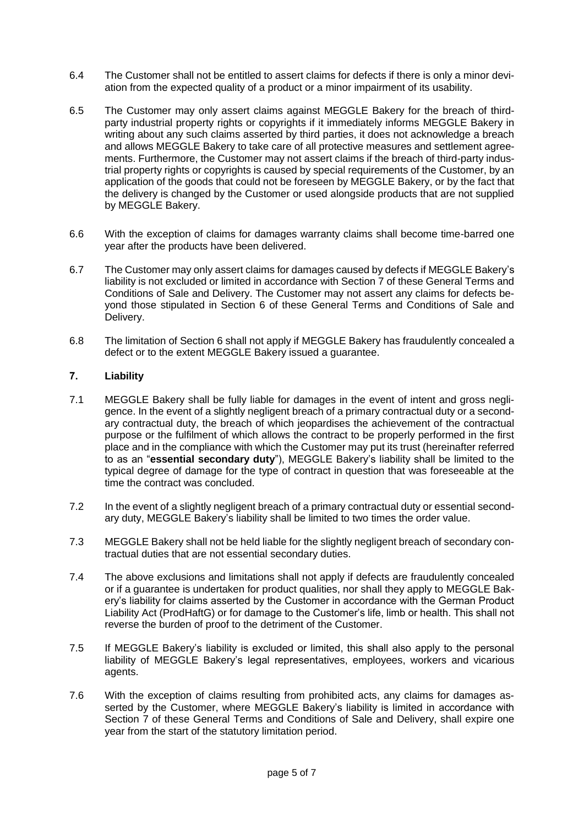- 6.4 The Customer shall not be entitled to assert claims for defects if there is only a minor deviation from the expected quality of a product or a minor impairment of its usability.
- 6.5 The Customer may only assert claims against MEGGLE Bakery for the breach of thirdparty industrial property rights or copyrights if it immediately informs MEGGLE Bakery in writing about any such claims asserted by third parties, it does not acknowledge a breach and allows MEGGLE Bakery to take care of all protective measures and settlement agreements. Furthermore, the Customer may not assert claims if the breach of third-party industrial property rights or copyrights is caused by special requirements of the Customer, by an application of the goods that could not be foreseen by MEGGLE Bakery, or by the fact that the delivery is changed by the Customer or used alongside products that are not supplied by MEGGLE Bakery.
- 6.6 With the exception of claims for damages warranty claims shall become time-barred one year after the products have been delivered.
- 6.7 The Customer may only assert claims for damages caused by defects if MEGGLE Bakery's liability is not excluded or limited in accordance with Section 7 of these General Terms and Conditions of Sale and Delivery. The Customer may not assert any claims for defects beyond those stipulated in Section 6 of these General Terms and Conditions of Sale and Delivery.
- 6.8 The limitation of Section 6 shall not apply if MEGGLE Bakery has fraudulently concealed a defect or to the extent MEGGLE Bakery issued a guarantee.

### **7. Liability**

- 7.1 MEGGLE Bakery shall be fully liable for damages in the event of intent and gross negligence. In the event of a slightly negligent breach of a primary contractual duty or a secondary contractual duty, the breach of which jeopardises the achievement of the contractual purpose or the fulfilment of which allows the contract to be properly performed in the first place and in the compliance with which the Customer may put its trust (hereinafter referred to as an "**essential secondary duty**"), MEGGLE Bakery's liability shall be limited to the typical degree of damage for the type of contract in question that was foreseeable at the time the contract was concluded.
- 7.2 In the event of a slightly negligent breach of a primary contractual duty or essential secondary duty, MEGGLE Bakery's liability shall be limited to two times the order value.
- 7.3 MEGGLE Bakery shall not be held liable for the slightly negligent breach of secondary contractual duties that are not essential secondary duties.
- 7.4 The above exclusions and limitations shall not apply if defects are fraudulently concealed or if a guarantee is undertaken for product qualities, nor shall they apply to MEGGLE Bakery's liability for claims asserted by the Customer in accordance with the German Product Liability Act (ProdHaftG) or for damage to the Customer's life, limb or health. This shall not reverse the burden of proof to the detriment of the Customer.
- 7.5 If MEGGLE Bakery's liability is excluded or limited, this shall also apply to the personal liability of MEGGLE Bakery's legal representatives, employees, workers and vicarious agents.
- 7.6 With the exception of claims resulting from prohibited acts, any claims for damages asserted by the Customer, where MEGGLE Bakery's liability is limited in accordance with Section 7 of these General Terms and Conditions of Sale and Delivery, shall expire one year from the start of the statutory limitation period.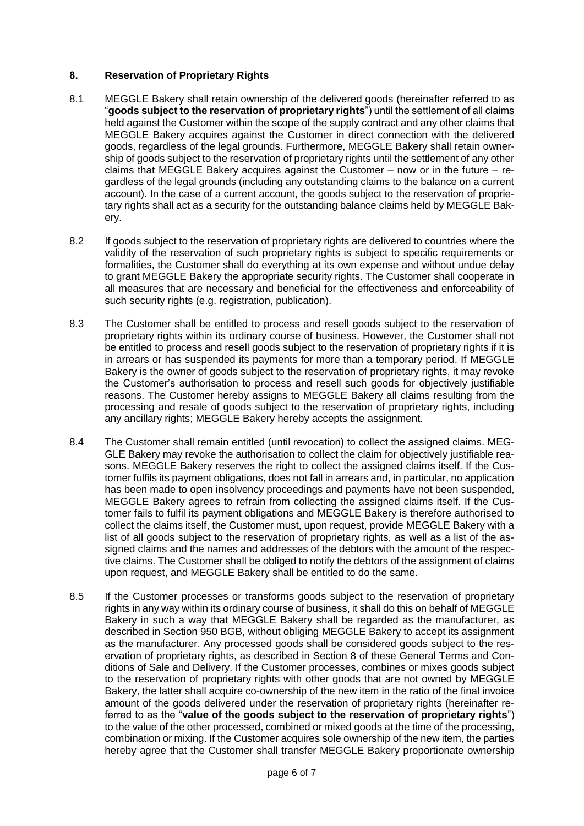# **8. Reservation of Proprietary Rights**

- 8.1 MEGGLE Bakery shall retain ownership of the delivered goods (hereinafter referred to as "**goods subject to the reservation of proprietary rights**") until the settlement of all claims held against the Customer within the scope of the supply contract and any other claims that MEGGLE Bakery acquires against the Customer in direct connection with the delivered goods, regardless of the legal grounds. Furthermore, MEGGLE Bakery shall retain ownership of goods subject to the reservation of proprietary rights until the settlement of any other claims that MEGGLE Bakery acquires against the Customer – now or in the future – regardless of the legal grounds (including any outstanding claims to the balance on a current account). In the case of a current account, the goods subject to the reservation of proprietary rights shall act as a security for the outstanding balance claims held by MEGGLE Bakery.
- 8.2 If goods subject to the reservation of proprietary rights are delivered to countries where the validity of the reservation of such proprietary rights is subject to specific requirements or formalities, the Customer shall do everything at its own expense and without undue delay to grant MEGGLE Bakery the appropriate security rights. The Customer shall cooperate in all measures that are necessary and beneficial for the effectiveness and enforceability of such security rights (e.g. registration, publication).
- 8.3 The Customer shall be entitled to process and resell goods subject to the reservation of proprietary rights within its ordinary course of business. However, the Customer shall not be entitled to process and resell goods subject to the reservation of proprietary rights if it is in arrears or has suspended its payments for more than a temporary period. If MEGGLE Bakery is the owner of goods subject to the reservation of proprietary rights, it may revoke the Customer's authorisation to process and resell such goods for objectively justifiable reasons. The Customer hereby assigns to MEGGLE Bakery all claims resulting from the processing and resale of goods subject to the reservation of proprietary rights, including any ancillary rights; MEGGLE Bakery hereby accepts the assignment.
- 8.4 The Customer shall remain entitled (until revocation) to collect the assigned claims. MEG-GLE Bakery may revoke the authorisation to collect the claim for objectively justifiable reasons. MEGGLE Bakery reserves the right to collect the assigned claims itself. If the Customer fulfils its payment obligations, does not fall in arrears and, in particular, no application has been made to open insolvency proceedings and payments have not been suspended, MEGGLE Bakery agrees to refrain from collecting the assigned claims itself. If the Customer fails to fulfil its payment obligations and MEGGLE Bakery is therefore authorised to collect the claims itself, the Customer must, upon request, provide MEGGLE Bakery with a list of all goods subject to the reservation of proprietary rights, as well as a list of the assigned claims and the names and addresses of the debtors with the amount of the respective claims. The Customer shall be obliged to notify the debtors of the assignment of claims upon request, and MEGGLE Bakery shall be entitled to do the same.
- 8.5 If the Customer processes or transforms goods subject to the reservation of proprietary rights in any way within its ordinary course of business, it shall do this on behalf of MEGGLE Bakery in such a way that MEGGLE Bakery shall be regarded as the manufacturer, as described in Section 950 BGB, without obliging MEGGLE Bakery to accept its assignment as the manufacturer. Any processed goods shall be considered goods subject to the reservation of proprietary rights, as described in Section 8 of these General Terms and Conditions of Sale and Delivery. If the Customer processes, combines or mixes goods subject to the reservation of proprietary rights with other goods that are not owned by MEGGLE Bakery, the latter shall acquire co-ownership of the new item in the ratio of the final invoice amount of the goods delivered under the reservation of proprietary rights (hereinafter referred to as the "**value of the goods subject to the reservation of proprietary rights**") to the value of the other processed, combined or mixed goods at the time of the processing, combination or mixing. If the Customer acquires sole ownership of the new item, the parties hereby agree that the Customer shall transfer MEGGLE Bakery proportionate ownership